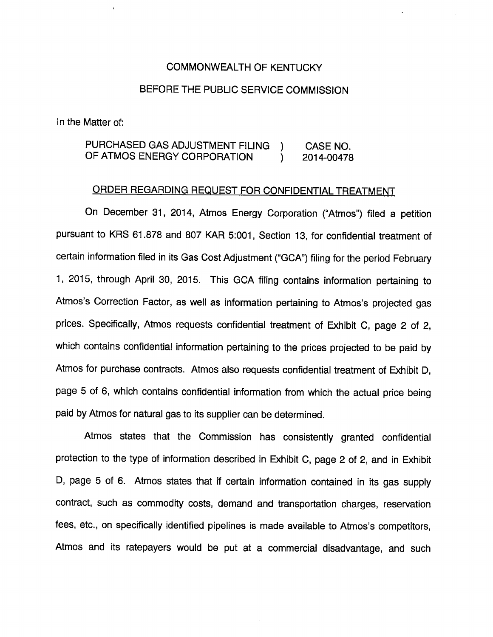## COMMONWEALTH OF KENTUCKY

## BEFORE THE PUBLIC SERVICE COMMISSION

In the Matter of:

PURCHASED GAS ADJUSTMENT FILING ) CASE NO. OF ATMOS ENERGY CORPORATION (2014-00478)

## ORDER REGARDING REQUEST FOR CONFIDENTIAL TREATMENT

On December 31, 2014, Atmos Energy Corporation ("Atmos") filed a petition pursuant to KRS 61.878 and 807 KAR 5:001, Section 13, for confidential treatment of certain information filed in its Gas Cost Adjustment ("GCA") filing for the period February 1, 2015, through April 30, 2015. This GCA filing contains information pertaining to Atmos's Correction Factor, as well as information pertaining to Atmos's projected gas prices. Specifically, Atmos requests confidential treatment of Exhibit C, page 2 of 2, which contains confidential information pertaining to the prices projected to be paid by Atmos for purchase contracts. Atmos also requests confidential treatment of Exhibit D, page 5 of 6, which contains confidential information from which the actual price being paid by Atmos for natural gas to its supplier can be determined.

Atmos states that the Commission has consistently granted confidential protection to the type of information described in Exhibit C, page 2 of 2, and in Exhibit D, page 5 of 6. Atmos states that if certain information contained in its gas supply contract, such as commodity costs, demand and transportation charges, reservation fees, etc., on specifically identified pipelines is made available to Atmos's competitors, Atmos and its ratepayers would be put at a commercial disadvantage, and such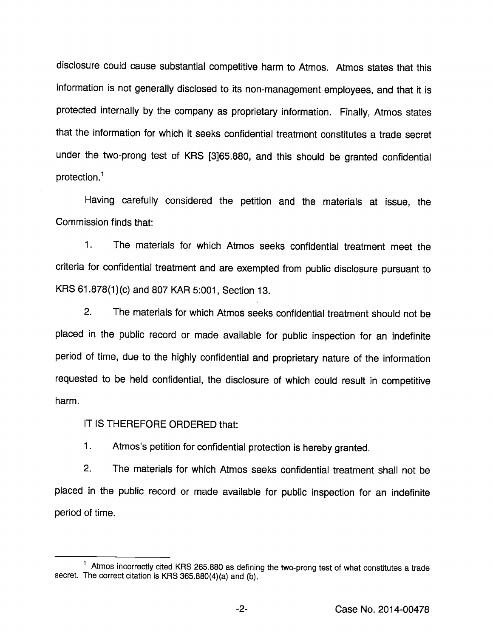disclosure could cause substantial competitive harm to Atmos. Atmos states that this information is not generally disclosed to its non-management employees, and that it is protected internally by the company as proprietary information. Finally, Atmos states that the information for which it seeks confidential treatment constitutes a trade secret under the two-prong test of KRS [3]65.880, and this should be granted confidential protection. $<sup>1</sup>$ </sup>

Having carefully considered the petition and the materials at issue, the Commission finds that:

1. The materials for which Atmos seeks confidential treatment meet the criteria for confidential treatment and are exempted from public disclosure pursuant to KRS 61.878(1 )(c) and 807 KAR 5:001, Section 13.

2. The materials for which Atmos seeks confidential treatment should not be placed in the public record or made available for public inspection for an indefinite period of time, due to the highly confidential and proprietary nature of the information requested to be held confidential, the disclosure of which could result in competitive harm.

IT IS THEREFORE ORDERED that:

1. Atmos's petition for confidential protection is hereby granted.

2. The materials for which Atmos seeks confidential treatment shall not be placed in the public record or made available for public inspection for an indefinite period of time.

 $1$  Atmos incorrectly cited KRS 265.880 as defining the two-prong test of what constitutes a trade secret. The correct citation is KRS 365.880(4)(a) and (b).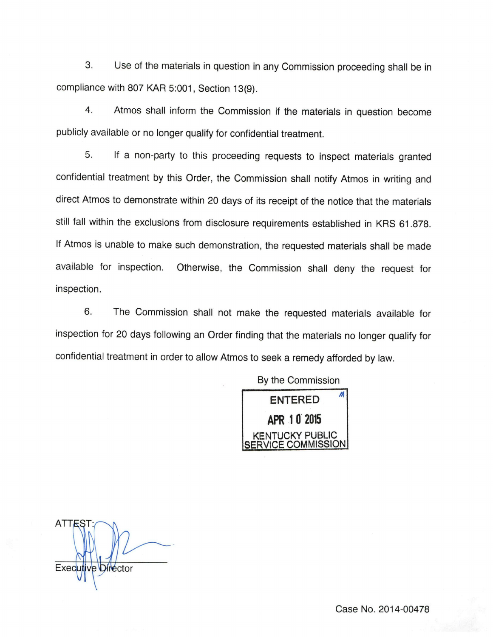3. Use of the materials in question in any Commission proceeding shall be in compliance with 807 KAR 5:001, Section 13(9).

4. Atmos shall inform the Commission if the materials in question become publicly available or no longer qualify for confidential treatment.

5. If a non-party to this proceeding requests to inspect materials granted confidential treatment by this Order, the Commission shall notify Atmos in writing and direct Atmos to demonstrate within 20 days of its receipt of the notice that the materials still fall within the exclusions from disclosure requirements established in KRS 61.878. If Atmos is unable to make such demonstration, the requested materials shall be made available for inspection. Otherwise, the Commission shall deny the request for inspection.

6. The Commission shall not make the requested materials available for inspection for 20 days following an Order finding that the materials no longer qualify for confidential treatment in order to allow Atmos to seek a remedy afforded by law.

> By the Commission ENTERED APR 10 2015 **ICKY PUBLIC** SERVICE COMMISSION

 $ATTE$ Executive Director